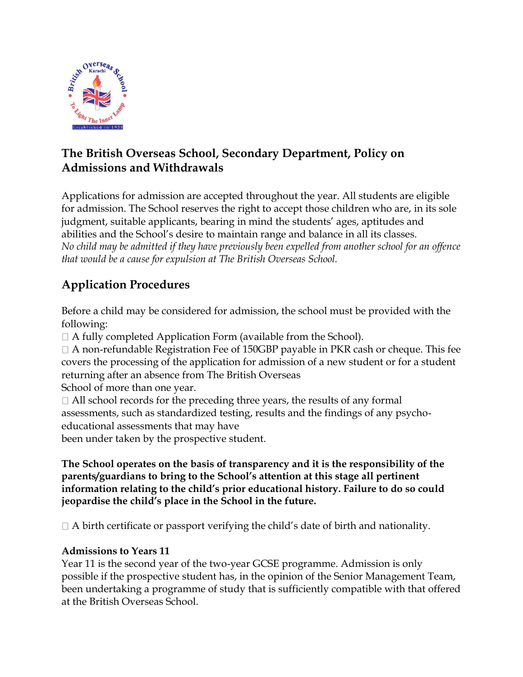

# **The British Overseas School, Secondary Department, Policy on Admissions and Withdrawals**

Applications for admission are accepted throughout the year. All students are eligible for admission. The School reserves the right to accept those children who are, in its sole judgment, suitable applicants, bearing in mind the students' ages, aptitudes and abilities and the School's desire to maintain range and balance in all its classes. *No child may be admitted if they have previously been expelled from another school for an offence that would be a cause for expulsion at The British Overseas School.*

# **Application Procedures**

Before a child may be considered for admission, the school must be provided with the following:

 $\Box$  A fully completed Application Form (available from the School).

 $\Box$  A non-refundable Registration Fee of 150GBP payable in PKR cash or cheque. This fee covers the processing of the application for admission of a new student or for a student returning after an absence from The British Overseas

School of more than one year.

 $\Box$  All school records for the preceding three years, the results of any formal assessments, such as standardized testing, results and the findings of any psycho‐ educational assessments that may have

been under taken by the prospective student.

**The School operates on the basis of transparency and it is the responsibility of the parents/guardians to bring to the School's attention at this stage all pertinent information relating to the child's prior educational history. Failure to do so could jeopardise the child's place in the School in the future.**

 $\Box$  A birth certificate or passport verifying the child's date of birth and nationality.

### **Admissions to Years 11**

Year 11 is the second year of the two-year GCSE programme. Admission is only possible if the prospective student has, in the opinion of the Senior Management Team, been undertaking a programme of study that is sufficiently compatible with that offered at the British Overseas School.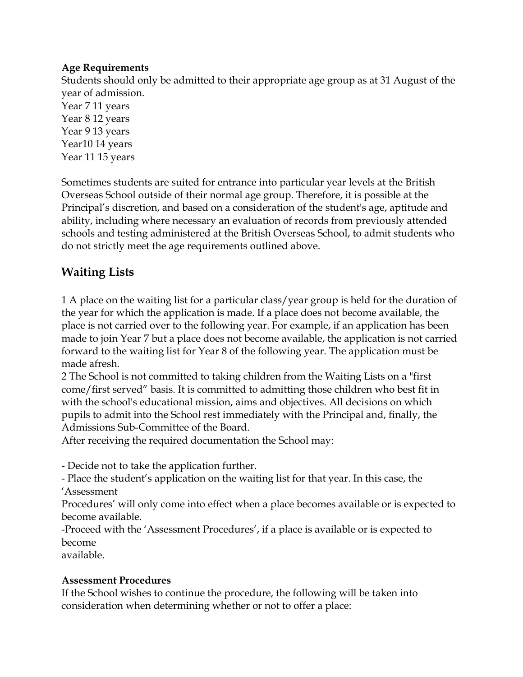#### **Age Requirements**

Students should only be admitted to their appropriate age group as at 31 August of the year of admission. Year 7 11 years Year 8 12 years Year 9 13 years Year10 14 years Year 11 15 years

Sometimes students are suited for entrance into particular year levels at the British Overseas School outside of their normal age group. Therefore, it is possible at the Principal's discretion, and based on a consideration of the student's age, aptitude and ability, including where necessary an evaluation of records from previously attended schools and testing administered at the British Overseas School, to admit students who do not strictly meet the age requirements outlined above.

# **Waiting Lists**

1 A place on the waiting list for a particular class/year group is held for the duration of the year for which the application is made. If a place does not become available, the place is not carried over to the following year. For example, if an application has been made to join Year 7 but a place does not become available, the application is not carried forward to the waiting list for Year 8 of the following year. The application must be made afresh.

2 The School is not committed to taking children from the Waiting Lists on a "first come/first served" basis. It is committed to admitting those children who best fit in with the school's educational mission, aims and objectives. All decisions on which pupils to admit into the School rest immediately with the Principal and, finally, the Admissions Sub-Committee of the Board.

After receiving the required documentation the School may:

- Decide not to take the application further.

- Place the student's application on the waiting list for that year. In this case, the 'Assessment

Procedures' will only come into effect when a place becomes available or is expected to become available.

-Proceed with the 'Assessment Procedures', if a place is available or is expected to become

available.

#### **Assessment Procedures**

If the School wishes to continue the procedure, the following will be taken into consideration when determining whether or not to offer a place: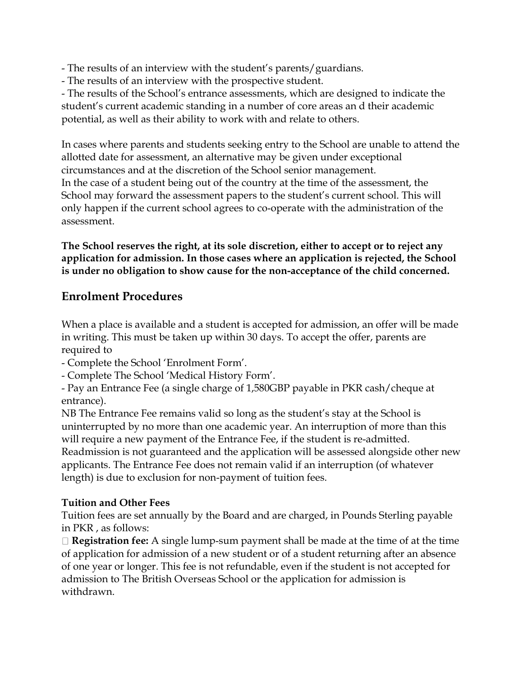- The results of an interview with the student's parents/guardians.

- The results of an interview with the prospective student.

- The results of the School's entrance assessments, which are designed to indicate the student's current academic standing in a number of core areas an d their academic potential, as well as their ability to work with and relate to others.

In cases where parents and students seeking entry to the School are unable to attend the allotted date for assessment, an alternative may be given under exceptional circumstances and at the discretion of the School senior management. In the case of a student being out of the country at the time of the assessment, the School may forward the assessment papers to the student's current school. This will only happen if the current school agrees to co‐operate with the administration of the assessment.

**The School reserves the right, at its sole discretion, either to accept or to reject any application for admission. In those cases where an application is rejected, the School is under no obligation to show cause for the non-acceptance of the child concerned.**

# **Enrolment Procedures**

When a place is available and a student is accepted for admission, an offer will be made in writing. This must be taken up within 30 days. To accept the offer, parents are required to

- Complete the School 'Enrolment Form'.
- Complete The School 'Medical History Form'.

- Pay an Entrance Fee (a single charge of 1,580GBP payable in PKR cash/cheque at entrance).

NB The Entrance Fee remains valid so long as the student's stay at the School is uninterrupted by no more than one academic year. An interruption of more than this will require a new payment of the Entrance Fee, if the student is re-admitted. Readmission is not guaranteed and the application will be assessed alongside other new applicants. The Entrance Fee does not remain valid if an interruption (of whatever length) is due to exclusion for non-payment of tuition fees.

### **Tuition and Other Fees**

Tuition fees are set annually by the Board and are charged, in Pounds Sterling payable in PKR , as follows:

□ **Registration fee:** A single lump-sum payment shall be made at the time of at the time of application for admission of a new student or of a student returning after an absence of one year or longer. This fee is not refundable, even if the student is not accepted for admission to The British Overseas School or the application for admission is withdrawn.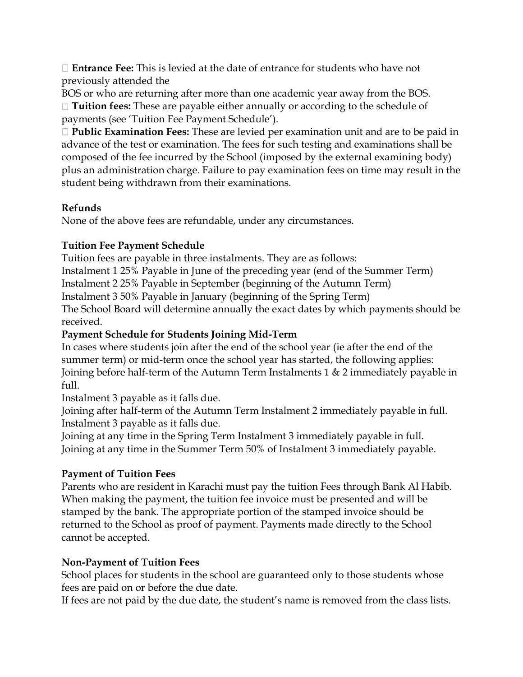**Entrance Fee:** This is levied at the date of entrance for students who have not previously attended the

BOS or who are returning after more than one academic year away from the BOS. **Tuition fees:** These are payable either annually or according to the schedule of payments (see 'Tuition Fee Payment Schedule').

**Public Examination Fees:** These are levied per examination unit and are to be paid in advance of the test or examination. The fees for such testing and examinations shall be composed of the fee incurred by the School (imposed by the external examining body) plus an administration charge. Failure to pay examination fees on time may result in the student being withdrawn from their examinations.

#### **Refunds**

None of the above fees are refundable, under any circumstances.

## **Tuition Fee Payment Schedule**

Tuition fees are payable in three instalments. They are as follows:

Instalment 1 25% Payable in June of the preceding year (end of the Summer Term)

Instalment 2 25% Payable in September (beginning of the Autumn Term)

Instalment 3 50% Payable in January (beginning of the Spring Term)

The School Board will determine annually the exact dates by which payments should be received.

## **Payment Schedule for Students Joining Mid-Term**

In cases where students join after the end of the school year (ie after the end of the summer term) or mid-term once the school year has started, the following applies: Joining before half-term of the Autumn Term Instalments 1 & 2 immediately payable in full.

Instalment 3 payable as it falls due.

Joining after half-term of the Autumn Term Instalment 2 immediately payable in full. Instalment 3 payable as it falls due.

Joining at any time in the Spring Term Instalment 3 immediately payable in full. Joining at any time in the Summer Term 50% of Instalment 3 immediately payable.

### **Payment of Tuition Fees**

Parents who are resident in Karachi must pay the tuition Fees through Bank Al Habib. When making the payment, the tuition fee invoice must be presented and will be stamped by the bank. The appropriate portion of the stamped invoice should be returned to the School as proof of payment. Payments made directly to the School cannot be accepted.

### **Non-Payment of Tuition Fees**

School places for students in the school are guaranteed only to those students whose fees are paid on or before the due date.

If fees are not paid by the due date, the student's name is removed from the class lists.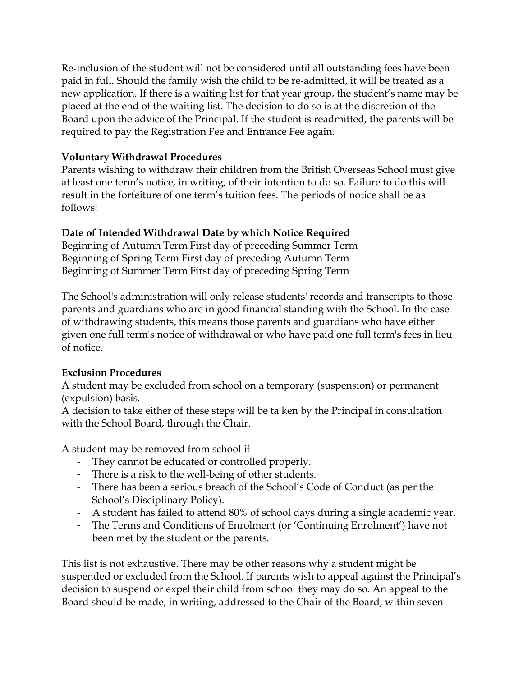Re-inclusion of the student will not be considered until all outstanding fees have been paid in full. Should the family wish the child to be re‐admitted, it will be treated as a new application. If there is a waiting list for that year group, the student's name may be placed at the end of the waiting list. The decision to do so is at the discretion of the Board upon the advice of the Principal. If the student is readmitted, the parents will be required to pay the Registration Fee and Entrance Fee again.

#### **Voluntary Withdrawal Procedures**

Parents wishing to withdraw their children from the British Overseas School must give at least one term's notice, in writing, of their intention to do so. Failure to do this will result in the forfeiture of one term's tuition fees. The periods of notice shall be as follows:

#### **Date of Intended Withdrawal Date by which Notice Required**

Beginning of Autumn Term First day of preceding Summer Term Beginning of Spring Term First day of preceding Autumn Term Beginning of Summer Term First day of preceding Spring Term

The School's administration will only release students' records and transcripts to those parents and guardians who are in good financial standing with the School. In the case of withdrawing students, this means those parents and guardians who have either given one full term's notice of withdrawal or who have paid one full term's fees in lieu of notice.

#### **Exclusion Procedures**

A student may be excluded from school on a temporary (suspension) or permanent (expulsion) basis.

A decision to take either of these steps will be ta ken by the Principal in consultation with the School Board, through the Chair.

A student may be removed from school if

- They cannot be educated or controlled properly.
- There is a risk to the well-being of other students.
- There has been a serious breach of the School's Code of Conduct (as per the School's Disciplinary Policy).
- A student has failed to attend 80% of school days during a single academic year.
- The Terms and Conditions of Enrolment (or 'Continuing Enrolment') have not been met by the student or the parents.

This list is not exhaustive. There may be other reasons why a student might be suspended or excluded from the School. If parents wish to appeal against the Principal's decision to suspend or expel their child from school they may do so. An appeal to the Board should be made, in writing, addressed to the Chair of the Board, within seven